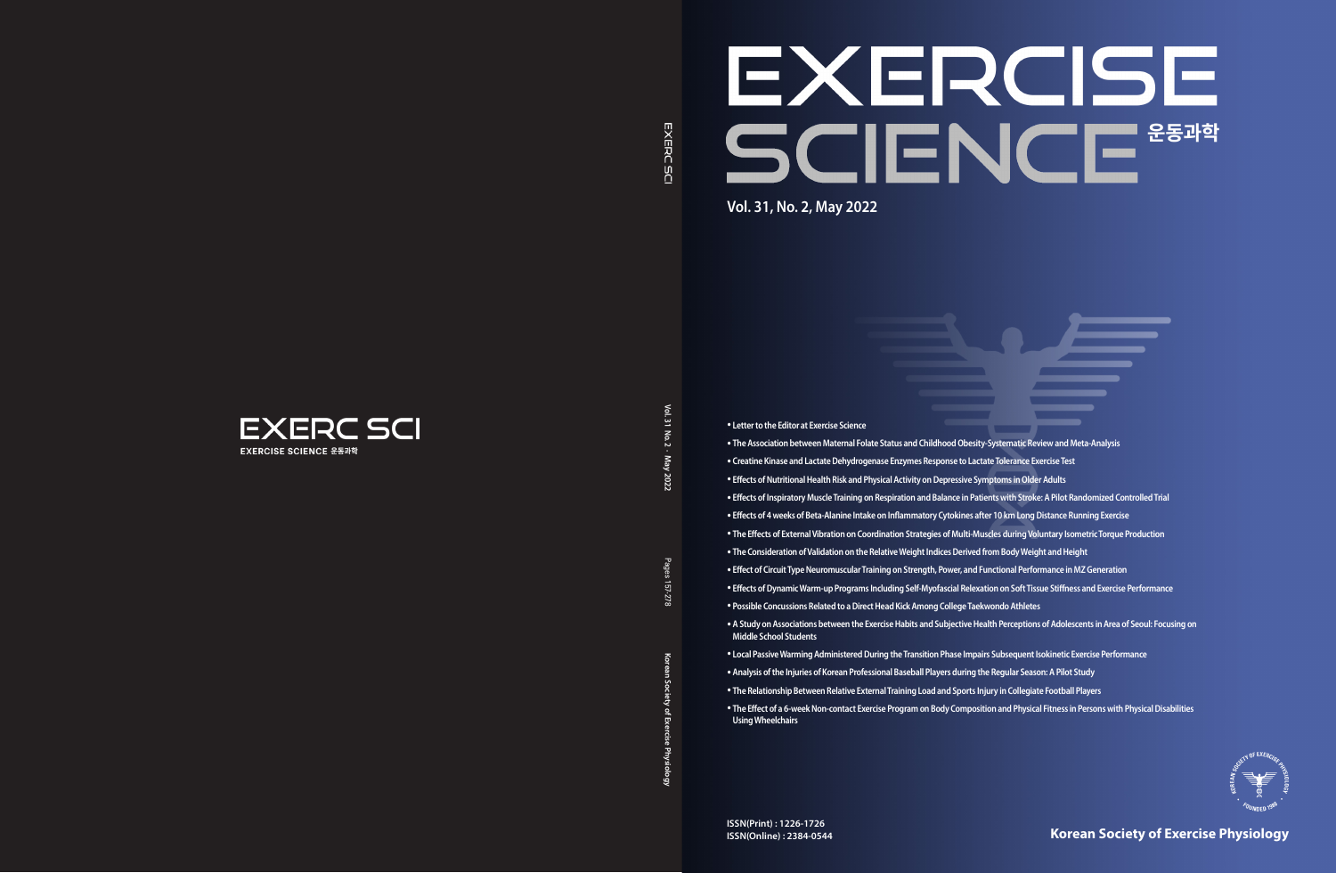Vol. 31 **Vol. 31 No. 2 · May**  $No.2$ . May **2022**

> Pages **Korean Society of Exercise Physiology** Pages 157-278 157-278

 $\delta$ eau

Society of Ex

cise Phys

EXERCISE SCIENCE **Vol. 31, No. 2, May 2022**



**Korean Society of Exercise Physiology**

• **Letter to the Editor at Exercise Science**

- 
- **Creatine Kinase and Lactate Dehydrogenase Enzymes Response to Lactate Tolerance Exercise Test**
	-
	-
	-
	-
	-
	-
	-
	-
	-



- **The Association between Maternal Folate Status and Childhood Obesity-Systematic Review and Meta-Analysis**
- **Effects of Nutritional Health Risk and Physical Activity on Depressive Symptoms in Older Adults**
- **Effects of Inspiratory Muscle Training on Respiration and Balance in Patients with Stroke: A Pilot Randomized Controlled Trial**
- **Effects of 4 weeks of Beta-Alanine Intake on Inflammatory Cytokines after 10 km Long Distance Running Exercise**
- **The Effects of External Vibration on Coordination Strategies of Multi-Muscles during Voluntary Isometric Torque Production**
- **The Consideration of Validation on the Relative Weight Indices Derived from Body Weight and Height**
- **Effect of Circuit Type Neuromuscular Training on Strength, Power, and Functional Performance in MZ Generation**
- **Effects of Dynamic Warm-up Programs Including Self-Myofascial Relexation on Soft Tissue Stiffness and Exercise Performance**
- **Possible Concussions Related to a Direct Head Kick Among College Taekwondo Athletes**
- **A Study on Associations between the Exercise Habits and Subjective Health Perceptions of Adolescents in Area of Seoul: Focusing on Middle School Students**
- **Local Passive Warming Administered During the Transition Phase Impairs Subsequent Isokinetic Exercise Performance**
- **Analysis of the Injuries of Korean Professional Baseball Players during the Regular Season: A Pilot Study**
- **The Relationship Between Relative External Training Load and Sports Injury in Collegiate Football Players**
- **The Effect of a 6-week Non-contact Exercise Program on Body Composition and Physical Fitness in Persons with Physical Disabilities Using Wheelchairs**